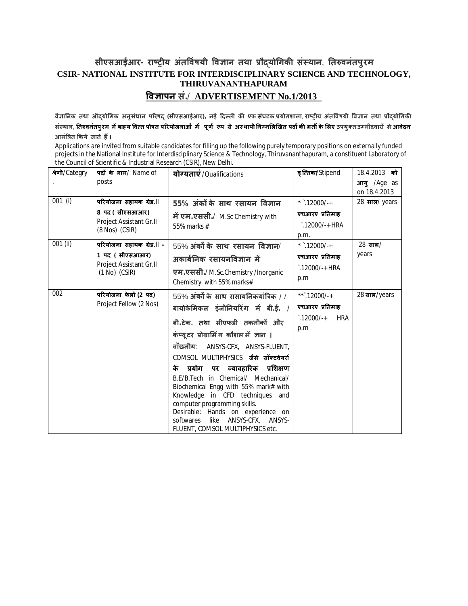## **सीएसआईआर- राçĚȣय अंतͪव[षयी ͪव£ान तथा Ĥौɮयोͬगकȧ संèथान**, **Ǔतǽवनंतपुरम CSIR- NATIONAL INSTITUTE FOR INTERDISCIPLINARY SCIENCE AND TECHNOLOGY, THIRUVANANTHAPURAM ͪव£ापन सं.**/ **ADVERTISEMENT No.1/2013**

**वै£ाǓनक तथा औɮयोͬगक अनुसंधान पǐरषɮ (सीएसआईआर), नई Ǒदãलȣ कȧ एक संघटक Ĥयोगशाला**, **राçĚȣय अंतͪव[षयी ͪव£ान तथा Ĥौɮयोͬगकȧ संèथान**, **Ǔतǽवनंतपुरम मɅबाéय ͪव×त पोषत पǐरयोजनाओं मɅ पूण[ Ǿप से अèथायीǓनàनͧलͨखत पदɉ कȧ भतȸ के ͧलए उपयुÈत उàमीदवारɉ सेआवेदन आमंǒğत ͩकये जाते हɇ।**

Applications are invited from suitable candidates for filling up the following purely temporary positions on externally funded projects in the National Institute for Interdisciplinary Science & Technology, Thiruvananthapuram, a constituent Laboratory of the Council of Scientific & Industrial Research (CSIR), New Delhi.

| श्रेणी/Categry | पदों के नाम/ Name of                                                                        | योग्यताएं /Qualifications                                                     | वृत्तिका/Stipend                  | 18.4.2013 को                |
|----------------|---------------------------------------------------------------------------------------------|-------------------------------------------------------------------------------|-----------------------------------|-----------------------------|
|                | posts                                                                                       |                                                                               |                                   | आयु /Age as<br>on 18.4.2013 |
| $001$ (i)      | परियोजना सहायक ग्रेड.॥                                                                      | 55% अंकों के साथ रसायन विज्ञान                                                | * $.12000/-+$                     | 28 साल/years                |
|                | 8 पद (सीएसआआर)<br>Project Assistant Gr.II<br>(8 Nos) (CSIR)                                 | में एम.एससी./ M.Sc Chemistry with<br>55% marks #                              | एचआरए प्रतिमाह                    |                             |
|                |                                                                                             |                                                                               | $\cdot$ .12000/-+ HRA             |                             |
|                |                                                                                             |                                                                               | p.m.                              |                             |
| 001 (ii)       | परियोजना सहायक ग्रेड.॥ -<br>1 पद ( सीएसआआर)<br>Project Assistant Gr.II<br>$(1 No)$ $(CSIR)$ | $55\%$ अंकों के साथ रसायन विज्ञान/                                            | * $.12000/-+$                     | $28 \pi \pi/$               |
|                |                                                                                             | अकार्बनिक रसायनविज्ञान में                                                    | एचआरए प्रतिमाह                    | years                       |
|                |                                                                                             | एम.एससी./ M.Sc.Chemistry/Inorganic                                            | $\cdot$ .12000/-+ HRA             |                             |
|                |                                                                                             | Chemistry with 55% marks#                                                     | p.m                               |                             |
| 002            | परियोजना फेलो (2 पद)<br>Project Fellow (2 Nos)                                              | $55\%$ अंकों के साथ रासायनिकयांत्रिक / /                                      | **`.12000/-+                      | 28 साल/years                |
|                |                                                                                             | बायोकेमिकल इंजीनियरिंग में बी.ई. /                                            | एचआरए प्रतिमाह                    |                             |
|                |                                                                                             | बी.टेक. तथा सीएफडी तकनीकों और                                                 | $\degree$ .12000/-+<br><b>HRA</b> |                             |
|                |                                                                                             | कंप्यूटर प्रोग्रामिंग कौशल में ज्ञान ।                                        | p.m                               |                             |
|                |                                                                                             | वॉछनीय: ANSYS-CFX, ANSYS-FLUENT,                                              |                                   |                             |
|                |                                                                                             | COMSOL MULTIPHYSICS जैसे सॉफ्टवेयरों                                          |                                   |                             |
|                |                                                                                             | प्रयोग पर व्यावहारिक प्रशिक्षण<br>के                                          |                                   |                             |
|                |                                                                                             | B.E/B.Tech in Chemical/ Mechanical/                                           |                                   |                             |
|                |                                                                                             | Biochemical Engg with 55% mark# with<br>Knowledge in CFD techniques<br>and    |                                   |                             |
|                |                                                                                             | computer programming skills.                                                  |                                   |                             |
|                |                                                                                             | Desirable: Hands on experience on                                             |                                   |                             |
|                |                                                                                             | ANSYS-CFX,<br>softwares<br>like<br>ANSYS-<br>FLUENT, COMSOL MULTIPHYSICS etc. |                                   |                             |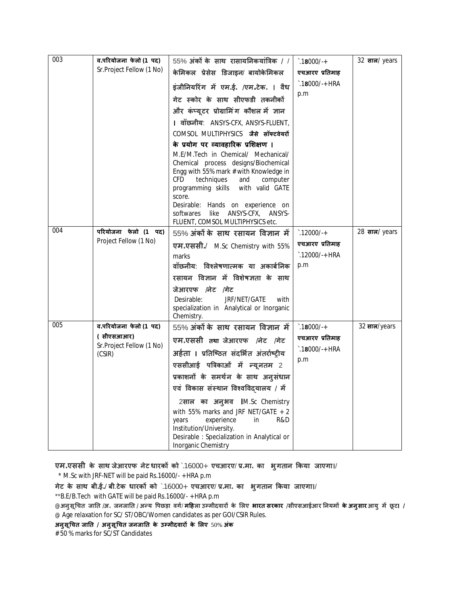| 003 | व.परियोजना फेलो (1 पद)                                                    | $55\%$ अंकों के साथ रासायनिकयांत्रिक / /                                                                                                                                                                                                                                                                                                | $\degree$ .18000/-+     | 32 साल/ years |
|-----|---------------------------------------------------------------------------|-----------------------------------------------------------------------------------------------------------------------------------------------------------------------------------------------------------------------------------------------------------------------------------------------------------------------------------------|-------------------------|---------------|
|     | Sr. Project Fellow (1 No)                                                 | केमिकल प्रेसेस डिजाइन/ बायोकेमिकल                                                                                                                                                                                                                                                                                                       | एचआरए प्रतिमाह          |               |
|     |                                                                           | इंजीनियरिंग में एम.ई. /एम.टेक. । वैध                                                                                                                                                                                                                                                                                                    | $\hat{ }$ .18000/-+ HRA |               |
|     |                                                                           | गेट स्कोर के साथ सीएफडी तकनीकों                                                                                                                                                                                                                                                                                                         | p.m                     |               |
|     |                                                                           | और कंप्यूटर प्रोग्रामिंग कौशल में ज्ञान                                                                                                                                                                                                                                                                                                 |                         |               |
|     |                                                                           | । वॉछनीय: ANSYS-CFX, ANSYS-FLUENT,                                                                                                                                                                                                                                                                                                      |                         |               |
|     |                                                                           | COMSOL MULTIPHYSICS जैसे सॉफ्टवेयरों                                                                                                                                                                                                                                                                                                    |                         |               |
|     |                                                                           | के प्रयोग पर व्यावहारिक प्रशिक्षण ।                                                                                                                                                                                                                                                                                                     |                         |               |
|     |                                                                           | M.E/M.Tech in Chemical/ Mechanical/<br>Chemical process designs/Biochemical<br>Engg with 55% mark # with Knowledge in<br>CFD.<br>techniques<br>and<br>computer<br>programming skills<br>with valid GATE<br>score.<br>Desirable: Hands on experience on<br>ANSYS-CFX,<br>like<br>ANSYS-<br>softwares<br>FLUENT, COMSOL MULTIPHYSICS etc. |                         |               |
| 004 | परियोजना फेलो (1 पद)<br>Project Fellow (1 No)                             | 55% अंकों के साथ रसायन विज्ञान में                                                                                                                                                                                                                                                                                                      | $\hat{.}12000/+$        | 28 साल/ years |
|     |                                                                           | <b>एम.एससी./</b> M.Sc Chemistry with 55%                                                                                                                                                                                                                                                                                                | एचआरए प्रतिमाह          |               |
|     |                                                                           | marks                                                                                                                                                                                                                                                                                                                                   | `.12000/-+ HRA          |               |
|     |                                                                           | वॉछनीय: विश्लेषणात्मक या अकार्बनिक                                                                                                                                                                                                                                                                                                      | p.m                     |               |
|     |                                                                           | रसायन विज्ञान में विशेषज्ञता के साथ                                                                                                                                                                                                                                                                                                     |                         |               |
|     |                                                                           | जेआरएफ /नेट /गेट<br>Desirable:<br>JRF/NET/GATE<br>with<br>specialization in Analytical or Inorganic<br>Chemistry.                                                                                                                                                                                                                       |                         |               |
| 005 | व.परियोजना फेलो (1 पद)<br>(सीएसआआर)<br>Sr.Project Fellow (1 No)<br>(CSIR) | 55% अंकों के साथ रसायन विज्ञान में                                                                                                                                                                                                                                                                                                      | $\hat{.}18000/+$        | 32 साल/years  |
|     |                                                                           | एम.एससी तथा जेआरएफ /नेट /गेट                                                                                                                                                                                                                                                                                                            | एचआरए प्रतिमाह          |               |
|     |                                                                           | अर्हता । प्रतिष्ठित संदर्भित अंतर्राष्ट्रीय                                                                                                                                                                                                                                                                                             | $\cdot$ .18000/-+ HRA   |               |
|     |                                                                           | एससीआई पत्रिकाओं में न्यूनतम 2                                                                                                                                                                                                                                                                                                          | p.m                     |               |
|     |                                                                           | प्रकाशनों के समर्थन के साथ अनुसंधान                                                                                                                                                                                                                                                                                                     |                         |               |
|     |                                                                           | एवं विकास संस्थान विश्वविदयालय / में                                                                                                                                                                                                                                                                                                    |                         |               |
|     |                                                                           | 2साल का अनुभव IM.Sc Chemistry<br>with 55% marks and JRF NET/GATE $+2$<br>experience<br>R&D<br>years<br>in<br>Institution/University.<br>Desirable: Specialization in Analytical or<br>Inorganic Chemistry                                                                                                                               |                         |               |

**एम.एससी के साथ जेआरएफ नेट धारकɉ को** `.16000+ **एचआरए**/ **Ĥ.मा. का भुगतान ͩकया जाएगा।**/

\* M.Sc with JRF-NET will be paid Rs.16000/- + HRA p.m

**गेट के साथ बी.ई.**/ **बी**.**टेक धारकɉ को** `.16000+ **एचआरए**/ **Ĥ.मा. का भुगतान ͩकया जाएगा।**/

\*\*B.E/B.Tech with GATE will be paid Rs.16000/- + HRA p.m

@**अनुसू ͬचत जाǓत /अ. जनजाǓत / अÛय ͪपछड़ा वग[**/ **मǑहला उàमीदवारɉ के ͧलए भारत सरकार /सीएसआईआर Ǔनयमɉ केअनुसारआयु मɅ छू ट। /**  @ Age relaxation for SC/ ST/OBC/Women candidates as per GOI/CSIR Rules.

**अनुसू ͬचत जाǓत / अनुसू ͬचत जनजाǓत के उàमीदवारɉ के ͧलए** 50% **अंक**

# 50 % marks for SC/ST Candidates